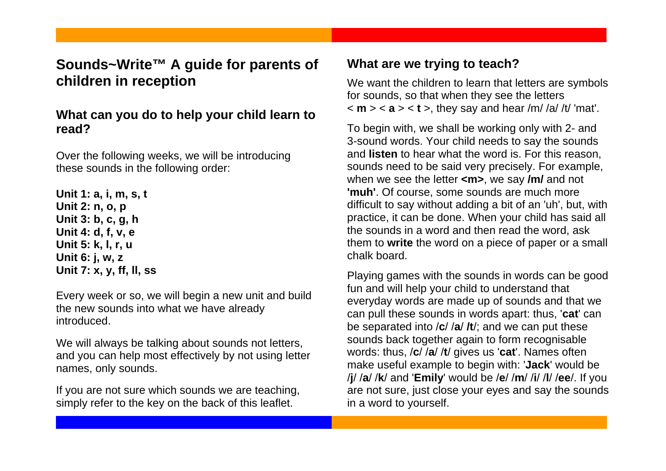# **Sounds~Write™ A guide for parents of children in reception**

## **What can you do to help your child learn to read?**

Over the following weeks, we will be introducing these sounds in the following order:

**Unit 1: a, i, m, s, t Unit 2: n, o, p Unit 3: b, c, g, h Unit 4: d, f, v, e Unit 5: k, l, r, u Unit 6: j, w, z Unit 7: x, y, ff, ll, ss**

Every week or so, we will begin a new unit and build the new sounds into what we have already introduced.

We will always be talking about sounds not letters, and you can help most effectively by not using letter names, only sounds.

If you are not sure which sounds we are teaching, simply refer to the key on the back of this leaflet.

## **What are we trying to teach?**

We want the children to learn that letters are symbols for sounds, so that when they see the letters  $\langle m \rangle$  < **a**  $>$  < **t** >, they say and hear /m/ /a/ /t/ 'mat'.

To begin with, we shall be working only with 2- and 3-sound words. Your child needs to say the sounds and **listen** to hear what the word is. For this reason, sounds need to be said very precisely. For example, when we see the letter **<m>**, we say **/m/** and not **'muh'**. Of course, some sounds are much more difficult to say without adding a bit of an 'uh', but, with practice, it can be done. When your child has said all the sounds in a word and then read the word, ask them to **write** the word on a piece of paper or a small chalk board.

Playing games with the sounds in words can be good fun and will help your child to understand that everyday words are made up of sounds and that we can pull these sounds in words apart: thus, '**cat**' can be separated into / **c**/ / **<sup>a</sup>**/ **/t**/; and we can put these sounds back together again to form recognisable words: thus, / **c**/ / **<sup>a</sup>**/ /**t**/ gives us '**cat**'. Names often make useful example to begin with: '**Jack**' would be /**j**/ / **a**/ / **k**/ and '**Emily**' would be / **e**/ / **<sup>m</sup>**/ /**i**/ /**l**/ /**ee**/. If you are not sure, just close your eyes and say the sounds in a word to yourself.